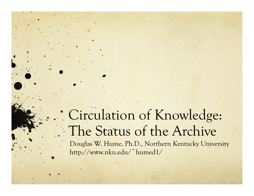# Circulation of Knowledge: The Status of the Archive

Douglas W. Hume, Ph.D., Northern Kentucky University http://www.nku.edu/~humed1/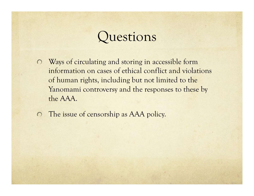#### Questions

- Ways of circulating and storing in accessible form information on cases of ethical conflict and violations of human rights, including but not limited to the Yanomami controversy and the responses to these by the AAA.
- The issue of censorship as AAA policy.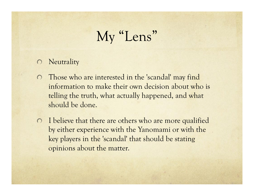# My "Lens"

- **Neutrality**  $\bigcirc$
- Those who are interested in the 'scandal' may find  $\bigcirc$ information to make their own decision about who is telling the truth, what actually happened, and what should be done.
- I believe that there are others who are more qualified by either experience with the Yanomami or with the key players in the 'scandal' that should be stating opinions about the matter.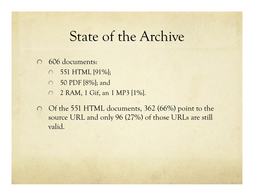## State of the Archive

#### 606 documents:  $\Omega$

- 551 HTML [91%];  $\bigcirc$
- 50 PDF [8%]; and  $\circ$
- 2 RAM, 1 Gif, an 1 MP3 [1%].  $\circ$
- O Of the 551 HTML documents, 362 (66%) point to the source URL and only 96 (27%) of those URLs are still valid.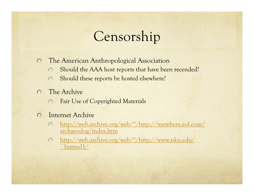## Censorship

- The American Anthropological Association  $\bigcirc$ 
	- Should the AAA host reports that have been recended?  $\bigcap$
	- Should these reports be hosted elsewhere?  $\bigcap$
- The Archive  $\bigcap$ 
	- Fair Use of Copyrighted Materials  $\bigcirc$
- Internet Archive  $\bigcap$ 
	- http://web.archive.org/web/\*/http://members.aol.com/  $\bigcap$ archaeodog/index.htm
	- http://web.archive.org/web/\*/http://www.nku.edu/  $\bigcirc$  $\tilde{\phantom{a}}$ humed $1/$